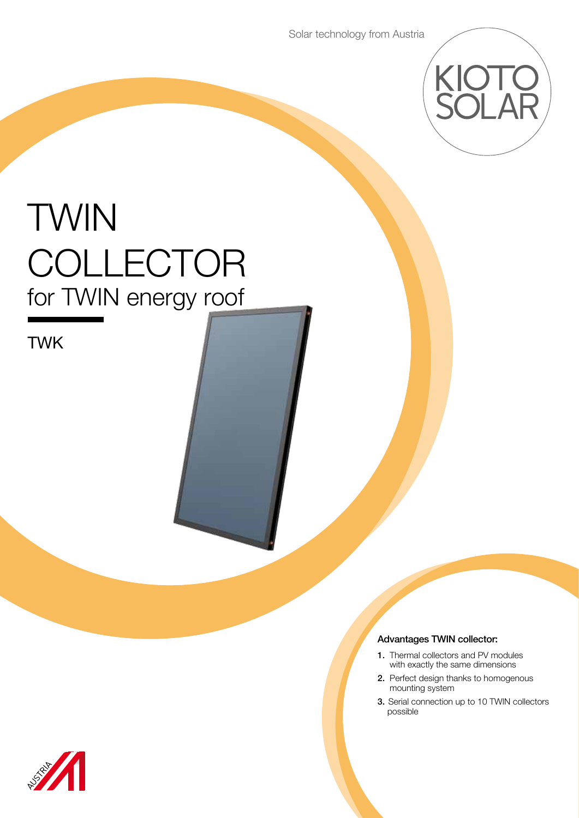

# TWIN COLLECTOR for TWIN energy roof

TWK

### Advantages TWIN collector:

- 1. Thermal collectors and PV modules with exactly the same dimensions
- 2. Perfect design thanks to homogenous mounting system
- 3. Serial connection up to 10 TWIN collectors possible